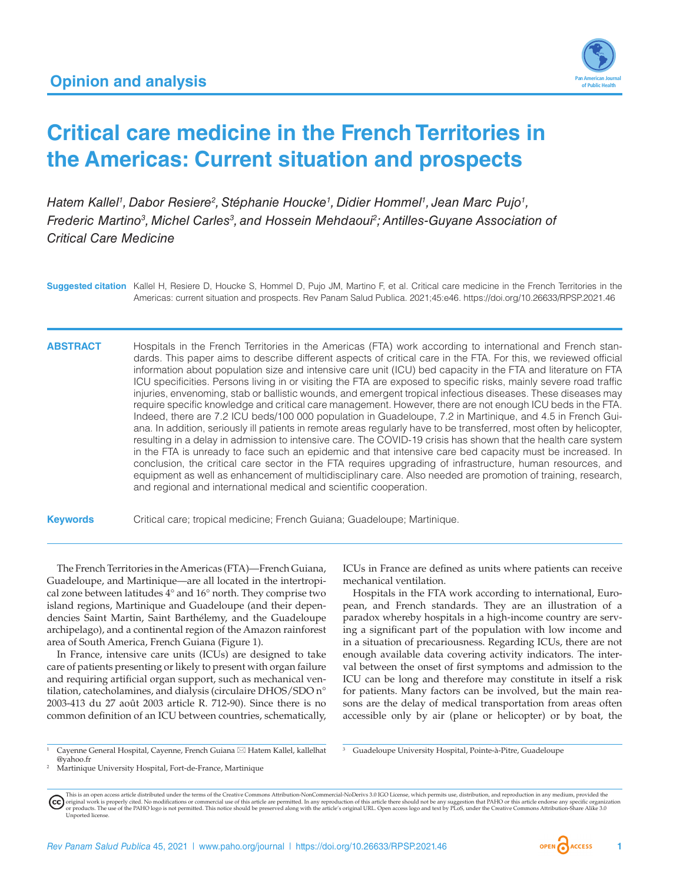

# **Critical care medicine in the French Territories in the Americas: Current situation and prospects**

Hatem Kallel<sup>1</sup>, Dabor Resiere<sup>2</sup>, Stéphanie Houcke<sup>1</sup>, Didier Hommel<sup>1</sup>, Jean Marc Pujo<sup>1</sup>, Frederic Martino<sup>3</sup>, Michel Carles<sup>3</sup>, and Hossein Mehdaoui<sup>2</sup>; Antilles-Guyane Association of *Critical Care Medicine*

**Suggested citation** Kallel H, Resiere D, Houcke S, Hommel D, Pujo JM, Martino F, et al. Critical care medicine in the French Territories in the Americas: current situation and prospects. Rev Panam Salud Publica. 2021;45:e46. <https://doi.org/10.26633/RPSP.2021.46>

**ABSTRACT** Hospitals in the French Territories in the Americas (FTA) work according to international and French standards. This paper aims to describe different aspects of critical care in the FTA. For this, we reviewed official information about population size and intensive care unit (ICU) bed capacity in the FTA and literature on FTA ICU specificities. Persons living in or visiting the FTA are exposed to specific risks, mainly severe road traffic injuries, envenoming, stab or ballistic wounds, and emergent tropical infectious diseases. These diseases may require specific knowledge and critical care management. However, there are not enough ICU beds in the FTA. Indeed, there are 7.2 ICU beds/100 000 population in Guadeloupe, 7.2 in Martinique, and 4.5 in French Guiana. In addition, seriously ill patients in remote areas regularly have to be transferred, most often by helicopter, resulting in a delay in admission to intensive care. The COVID-19 crisis has shown that the health care system in the FTA is unready to face such an epidemic and that intensive care bed capacity must be increased. In conclusion, the critical care sector in the FTA requires upgrading of infrastructure, human resources, and equipment as well as enhancement of multidisciplinary care. Also needed are promotion of training, research, and regional and international medical and scientific cooperation.

**Keywords** Critical care; tropical medicine; French Guiana; Guadeloupe; Martinique.

The French Territories in the Americas (FTA)—French Guiana, Guadeloupe, and Martinique—are all located in the intertropical zone between latitudes 4° and 16° north. They comprise two island regions, Martinique and Guadeloupe (and their dependencies Saint Martin, Saint Barthélemy, and the Guadeloupe archipelago), and a continental region of the Amazon rainforest area of South America, French Guiana (Figure 1).

In France, intensive care units (ICUs) are designed to take care of patients presenting or likely to present with organ failure and requiring artificial organ support, such as mechanical ventilation, catecholamines, and dialysis (circulaire DHOS/SDO n° 2003-413 du 27 août 2003 article R. 712-90). Since there is no common definition of an ICU between countries, schematically, ICUs in France are defined as units where patients can receive mechanical ventilation.

Hospitals in the FTA work according to international, European, and French standards. They are an illustration of a paradox whereby hospitals in a high-income country are serving a significant part of the population with low income and in a situation of precariousness. Regarding ICUs, there are not enough available data covering activity indicators. The interval between the onset of first symptoms and admission to the ICU can be long and therefore may constitute in itself a risk for patients. Many factors can be involved, but the main reasons are the delay of medical transportation from areas often accessible only by air (plane or helicopter) or by boat, the

<sup>1</sup> Cayenne General Hospital, Cayenne, French Guiana \* Hatem Kallel, [kallelhat](mailto:kallelhat@yahoo.fr) [@yahoo.fr](mailto:kallelhat@yahoo.fr)

<sup>3</sup> Guadeloupe University Hospital, Pointe-à-Pitre, Guadeloupe

This is an open access article distributed under the terms of the [Creative Commons Attribution-NonCommercial-NoDerivs 3.0 IGO](https://creativecommons.org/licenses/by-nc-nd/3.0/igo/legalcode) License, which permits use, distribution, and reproduction in any medium, provided the (cc) original work is properly cited. No modifications or commercial use of this article are permitted. In any reproduction of this article there should not be any suggestion that PAHO or this article endorse any specific organ

Martinique University Hospital, Fort-de-France, Martinique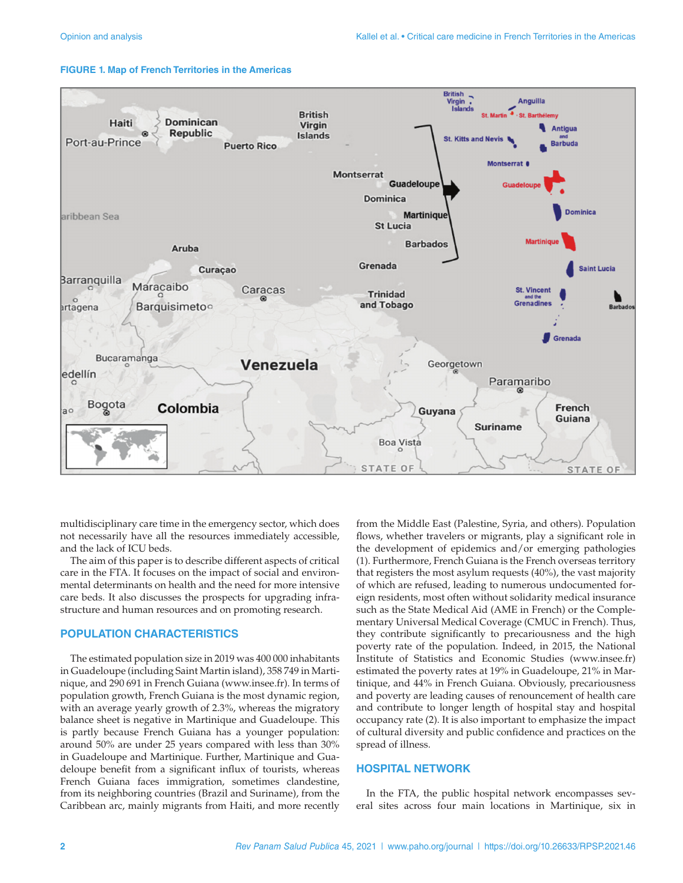

#### **FIGURE 1. Map of French Territories in the Americas**

multidisciplinary care time in the emergency sector, which does not necessarily have all the resources immediately accessible, and the lack of ICU beds.

The aim of this paper is to describe different aspects of critical care in the FTA. It focuses on the impact of social and environmental determinants on health and the need for more intensive care beds. It also discusses the prospects for upgrading infrastructure and human resources and on promoting research.

#### **POPULATION CHARACTERISTICS**

The estimated population size in 2019 was 400 000 inhabitants in Guadeloupe (including Saint Martin island), 358 749 in Martinique, and 290 691 in French Guiana ([www.insee.fr\)](www.insee.fr). In terms of population growth, French Guiana is the most dynamic region, with an average yearly growth of 2.3%, whereas the migratory balance sheet is negative in Martinique and Guadeloupe. This is partly because French Guiana has a younger population: around 50% are under 25 years compared with less than 30% in Guadeloupe and Martinique. Further, Martinique and Guadeloupe benefit from a significant influx of tourists, whereas French Guiana faces immigration, sometimes clandestine, from its neighboring countries (Brazil and Suriname), from the Caribbean arc, mainly migrants from Haiti, and more recently

from the Middle East (Palestine, Syria, and others). Population flows, whether travelers or migrants, play a significant role in the development of epidemics and/or emerging pathologies (1). Furthermore, French Guiana is the French overseas territory that registers the most asylum requests (40%), the vast majority of which are refused, leading to numerous undocumented foreign residents, most often without solidarity medical insurance such as the State Medical Aid (AME in French) or the Complementary Universal Medical Coverage (CMUC in French). Thus, they contribute significantly to precariousness and the high poverty rate of the population. Indeed, in 2015, the National Institute of Statistics and Economic Studies (<www.insee.fr>) estimated the poverty rates at 19% in Guadeloupe, 21% in Martinique, and 44% in French Guiana. Obviously, precariousness and poverty are leading causes of renouncement of health care and contribute to longer length of hospital stay and hospital occupancy rate (2). It is also important to emphasize the impact of cultural diversity and public confidence and practices on the spread of illness.

#### **HOSPITAL NETWORK**

In the FTA, the public hospital network encompasses several sites across four main locations in Martinique, six in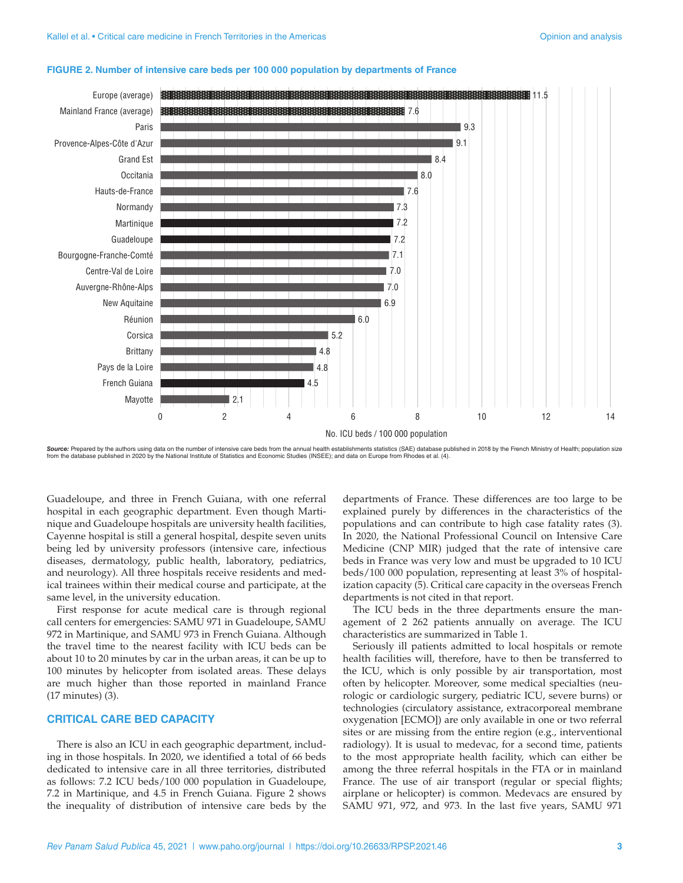

#### **FIGURE 2. Number of intensive care beds per 100 000 population by departments of France**

Source: Prepared by the authors using data on the number of intensive care beds from the annual health establishments statistics (SAE) database published in 2018 by the French Ministry of Health; population size<br>from the d

Guadeloupe, and three in French Guiana, with one referral hospital in each geographic department. Even though Martinique and Guadeloupe hospitals are university health facilities, Cayenne hospital is still a general hospital, despite seven units being led by university professors (intensive care, infectious diseases, dermatology, public health, laboratory, pediatrics, and neurology). All three hospitals receive residents and medical trainees within their medical course and participate, at the same level, in the university education.

First response for acute medical care is through regional call centers for emergencies: SAMU 971 in Guadeloupe, SAMU 972 in Martinique, and SAMU 973 in French Guiana. Although the travel time to the nearest facility with ICU beds can be about 10 to 20 minutes by car in the urban areas, it can be up to 100 minutes by helicopter from isolated areas. These delays are much higher than those reported in mainland France (17 minutes) (3).

#### **CRITICAL CARE BED CAPACITY**

There is also an ICU in each geographic department, including in those hospitals. In 2020, we identified a total of 66 beds dedicated to intensive care in all three territories, distributed as follows: 7.2 ICU beds/100 000 population in Guadeloupe, 7.2 in Martinique, and 4.5 in French Guiana. Figure 2 shows the inequality of distribution of intensive care beds by the

departments of France. These differences are too large to be explained purely by differences in the characteristics of the populations and can contribute to high case fatality rates (3). In 2020, the National Professional Council on Intensive Care Medicine (CNP MIR) judged that the rate of intensive care beds in France was very low and must be upgraded to 10 ICU beds/100 000 population, representing at least 3% of hospitalization capacity (5). Critical care capacity in the overseas French departments is not cited in that report.

The ICU beds in the three departments ensure the management of 2 262 patients annually on average. The ICU characteristics are summarized in Table 1.

Seriously ill patients admitted to local hospitals or remote health facilities will, therefore, have to then be transferred to the ICU, which is only possible by air transportation, most often by helicopter. Moreover, some medical specialties (neurologic or cardiologic surgery, pediatric ICU, severe burns) or technologies (circulatory assistance, extracorporeal membrane oxygenation [ECMO]) are only available in one or two referral sites or are missing from the entire region (e.g., interventional radiology). It is usual to medevac, for a second time, patients to the most appropriate health facility, which can either be among the three referral hospitals in the FTA or in mainland France. The use of air transport (regular or special flights; airplane or helicopter) is common. Medevacs are ensured by SAMU 971, 972, and 973. In the last five years, SAMU 971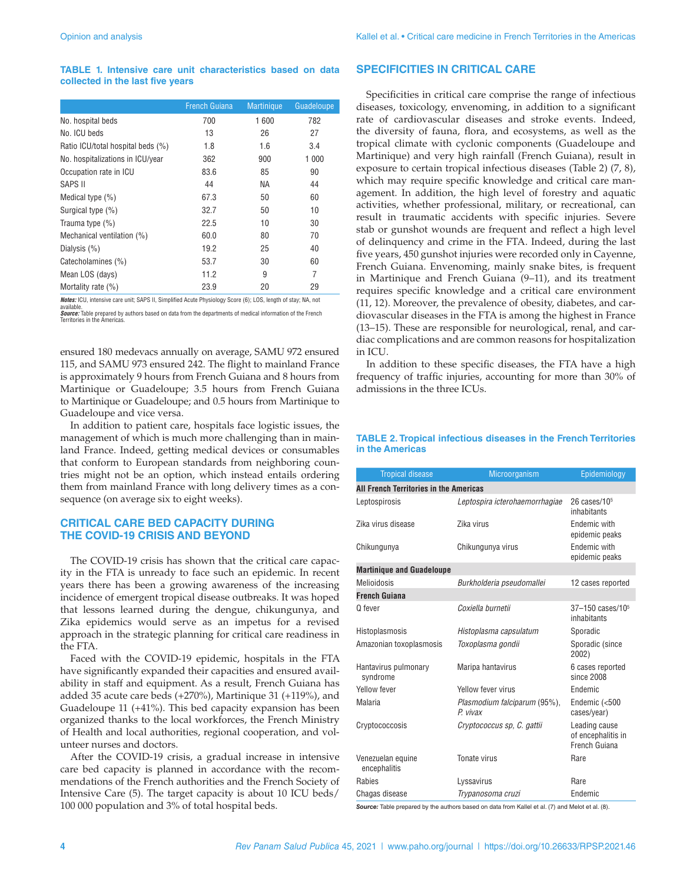#### **TABLE 1. Intensive care unit characteristics based on data collected in the last five years**

|                                   | <b>French Guiana</b> | <b>Martinique</b> | Guadeloupe |
|-----------------------------------|----------------------|-------------------|------------|
| No. hospital beds                 | 700                  | 1 600             | 782        |
| No. ICU beds                      | 13                   | 26                | 27         |
| Ratio ICU/total hospital beds (%) | 1.8                  | 1.6               | 3.4        |
| No. hospitalizations in ICU/year  | 362                  | 900               | 1 000      |
| Occupation rate in ICU            | 83.6                 | 85                | 90         |
| SAPS II                           | 44                   | NА                | 44         |
| Medical type $(\%)$               | 67.3                 | 50                | 60         |
| Surgical type (%)                 | 32.7                 | 50                | 10         |
| Trauma type (%)                   | 22.5                 | 10                | 30         |
| Mechanical ventilation (%)        | 60.0                 | 80                | 70         |
| Dialysis (%)                      | 19.2                 | 25                | 40         |
| Catecholamines (%)                | 53.7                 | 30                | 60         |
| Mean LOS (days)                   | 11.2                 | 9                 | 7          |
| Mortality rate (%)                | 23.9                 | 20                | 29         |

*Notes:* ICU, intensive care unit; SAPS II, Simplified Acute Physiology Score (6); LOS, length of stay; NA, not available.

*Source:* Table prepared by authors based on data from the departments of medical information of the French Territories in the Americas.

ensured 180 medevacs annually on average, SAMU 972 ensured 115, and SAMU 973 ensured 242. The flight to mainland France is approximately 9 hours from French Guiana and 8 hours from Martinique or Guadeloupe; 3.5 hours from French Guiana to Martinique or Guadeloupe; and 0.5 hours from Martinique to Guadeloupe and vice versa.

In addition to patient care, hospitals face logistic issues, the management of which is much more challenging than in mainland France. Indeed, getting medical devices or consumables that conform to European standards from neighboring countries might not be an option, which instead entails ordering them from mainland France with long delivery times as a consequence (on average six to eight weeks).

### **CRITICAL CARE BED CAPACITY DURING THE COVID-19 CRISIS AND BEYOND**

The COVID-19 crisis has shown that the critical care capacity in the FTA is unready to face such an epidemic. In recent years there has been a growing awareness of the increasing incidence of emergent tropical disease outbreaks. It was hoped that lessons learned during the dengue, chikungunya, and Zika epidemics would serve as an impetus for a revised approach in the strategic planning for critical care readiness in the FTA.

Faced with the COVID-19 epidemic, hospitals in the FTA have significantly expanded their capacities and ensured availability in staff and equipment. As a result, French Guiana has added 35 acute care beds (+270%), Martinique 31 (+119%), and Guadeloupe 11 (+41%). This bed capacity expansion has been organized thanks to the local workforces, the French Ministry of Health and local authorities, regional cooperation, and volunteer nurses and doctors.

After the COVID-19 crisis, a gradual increase in intensive care bed capacity is planned in accordance with the recommendations of the French authorities and the French Society of Intensive Care (5). The target capacity is about 10 ICU beds/ 100 000 population and 3% of total hospital beds.

#### **SPECIFICITIES IN CRITICAL CARE**

Specificities in critical care comprise the range of infectious diseases, toxicology, envenoming, in addition to a significant rate of cardiovascular diseases and stroke events. Indeed, the diversity of fauna, flora, and ecosystems, as well as the tropical climate with cyclonic components (Guadeloupe and Martinique) and very high rainfall (French Guiana), result in exposure to certain tropical infectious diseases (Table 2) (7, 8), which may require specific knowledge and critical care management. In addition, the high level of forestry and aquatic activities, whether professional, military, or recreational, can result in traumatic accidents with specific injuries. Severe stab or gunshot wounds are frequent and reflect a high level of delinquency and crime in the FTA. Indeed, during the last five years, 450 gunshot injuries were recorded only in Cayenne, French Guiana. Envenoming, mainly snake bites, is frequent in Martinique and French Guiana (9–11), and its treatment requires specific knowledge and a critical care environment (11, 12). Moreover, the prevalence of obesity, diabetes, and cardiovascular diseases in the FTA is among the highest in France (13–15). These are responsible for neurological, renal, and cardiac complications and are common reasons for hospitalization in ICU.

In addition to these specific diseases, the FTA have a high frequency of traffic injuries, accounting for more than 30% of admissions in the three ICUs.

#### **TABLE 2. Tropical infectious diseases in the French Territories in the Americas**

| <b>Tropical disease</b>                | Microorganism                           | Epidemiology                                         |  |  |
|----------------------------------------|-----------------------------------------|------------------------------------------------------|--|--|
| All French Territories in the Americas |                                         |                                                      |  |  |
| Leptospirosis                          | Leptospira icterohaemorrhagiae          | 26 cases/ $105$<br>inhabitants                       |  |  |
| Zika virus disease                     | Zika virus                              | Endemic with<br>epidemic peaks                       |  |  |
| Chikungunya                            | Chikungunya virus                       | Endemic with<br>epidemic peaks                       |  |  |
| <b>Martinique and Guadeloupe</b>       |                                         |                                                      |  |  |
| Melioidosis                            | Burkholderia pseudomallei               | 12 cases reported                                    |  |  |
| <b>French Guiana</b>                   |                                         |                                                      |  |  |
| Q fever                                | Coxiella burnetii                       | 37-150 cases/10 <sup>5</sup><br>inhabitants          |  |  |
| Histoplasmosis                         | Histoplasma capsulatum                  | Sporadic                                             |  |  |
| Amazonian toxoplasmosis                | Toxoplasma gondii                       | Sporadic (since<br>2002)                             |  |  |
| Hantavirus pulmonary<br>syndrome       | Maripa hantavirus                       | 6 cases reported<br>since 2008                       |  |  |
| Yellow fever                           | Yellow fever virus                      | <b>Fndemic</b>                                       |  |  |
| Malaria                                | Plasmodium falciparum (95%),<br>P vivax | Endemic (<500<br>cases/year)                         |  |  |
| Cryptococcosis                         | Cryptococcus sp, C. gattii              | Leading cause<br>of encephalitis in<br>French Guiana |  |  |
| Venezuelan equine<br>encephalitis      | Tonate virus                            | Rare                                                 |  |  |
| Rabies                                 | Lyssavirus                              | Rare                                                 |  |  |
| Chagas disease                         | Trypanosoma cruzi                       | Endemic                                              |  |  |

*Source:* Table prepared by the authors based on data from Kallel et al. (7) and Melot et al. (8).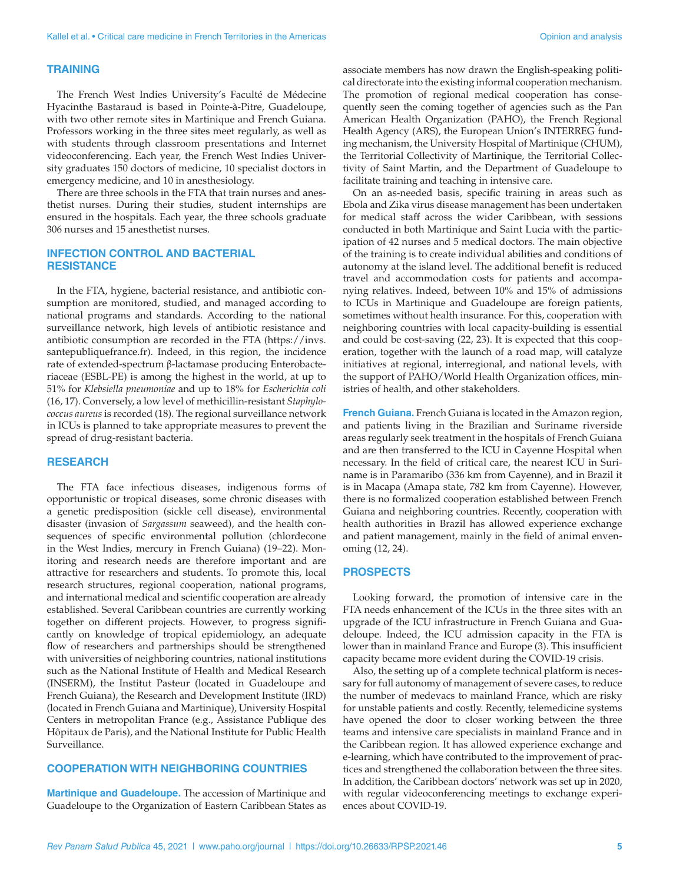### **TRAINING**

The French West Indies University's Faculté de Médecine Hyacinthe Bastaraud is based in Pointe-à-Pitre, Guadeloupe, with two other remote sites in Martinique and French Guiana. Professors working in the three sites meet regularly, as well as with students through classroom presentations and Internet videoconferencing. Each year, the French West Indies University graduates 150 doctors of medicine, 10 specialist doctors in emergency medicine, and 10 in anesthesiology.

There are three schools in the FTA that train nurses and anesthetist nurses. During their studies, student internships are ensured in the hospitals. Each year, the three schools graduate 306 nurses and 15 anesthetist nurses.

#### **INFECTION CONTROL AND BACTERIAL RESISTANCE**

In the FTA, hygiene, bacterial resistance, and antibiotic consumption are monitored, studied, and managed according to national programs and standards. According to the national surveillance network, high levels of antibiotic resistance and antibiotic consumption are recorded in the FTA [\(https://invs.](https://invs.santepubliquefrance.fr) [santepubliquefrance.fr](https://invs.santepubliquefrance.fr)). Indeed, in this region, the incidence rate of extended-spectrum β-lactamase producing Enterobacteriaceae (ESBL-PE) is among the highest in the world, at up to 51% for *Klebsiella pneumoniae* and up to 18% for *Escherichia coli* (16, 17). Conversely, a low level of methicillin-resistant *Staphylococcus aureus* is recorded (18). The regional surveillance network in ICUs is planned to take appropriate measures to prevent the spread of drug-resistant bacteria.

#### **RESEARCH**

The FTA face infectious diseases, indigenous forms of opportunistic or tropical diseases, some chronic diseases with a genetic predisposition (sickle cell disease), environmental disaster (invasion of *Sargassum* seaweed), and the health consequences of specific environmental pollution (chlordecone in the West Indies, mercury in French Guiana) (19–22). Monitoring and research needs are therefore important and are attractive for researchers and students. To promote this, local research structures, regional cooperation, national programs, and international medical and scientific cooperation are already established. Several Caribbean countries are currently working together on different projects. However, to progress significantly on knowledge of tropical epidemiology, an adequate flow of researchers and partnerships should be strengthened with universities of neighboring countries, national institutions such as the National Institute of Health and Medical Research (INSERM), the Institut Pasteur (located in Guadeloupe and French Guiana), the Research and Development Institute (IRD) (located in French Guiana and Martinique), University Hospital Centers in metropolitan France (e.g., Assistance Publique des Hôpitaux de Paris), and the National Institute for Public Health Surveillance.

#### **COOPERATION WITH NEIGHBORING COUNTRIES**

**Martinique and Guadeloupe.** The accession of Martinique and Guadeloupe to the Organization of Eastern Caribbean States as associate members has now drawn the English-speaking political directorate into the existing informal cooperation mechanism. The promotion of regional medical cooperation has consequently seen the coming together of agencies such as the Pan American Health Organization (PAHO), the French Regional Health Agency (ARS), the European Union's INTERREG funding mechanism, the University Hospital of Martinique (CHUM), the Territorial Collectivity of Martinique, the Territorial Collectivity of Saint Martin, and the Department of Guadeloupe to facilitate training and teaching in intensive care.

On an as-needed basis, specific training in areas such as Ebola and Zika virus disease management has been undertaken for medical staff across the wider Caribbean, with sessions conducted in both Martinique and Saint Lucia with the participation of 42 nurses and 5 medical doctors. The main objective of the training is to create individual abilities and conditions of autonomy at the island level. The additional benefit is reduced travel and accommodation costs for patients and accompanying relatives. Indeed, between 10% and 15% of admissions to ICUs in Martinique and Guadeloupe are foreign patients, sometimes without health insurance. For this, cooperation with neighboring countries with local capacity-building is essential and could be cost-saving (22, 23). It is expected that this cooperation, together with the launch of a road map, will catalyze initiatives at regional, interregional, and national levels, with the support of PAHO/World Health Organization offices, ministries of health, and other stakeholders.

**French Guiana.** French Guiana is located in the Amazon region, and patients living in the Brazilian and Suriname riverside areas regularly seek treatment in the hospitals of French Guiana and are then transferred to the ICU in Cayenne Hospital when necessary. In the field of critical care, the nearest ICU in Suriname is in Paramaribo (336 km from Cayenne), and in Brazil it is in Macapa (Amapa state, 782 km from Cayenne). However, there is no formalized cooperation established between French Guiana and neighboring countries. Recently, cooperation with health authorities in Brazil has allowed experience exchange and patient management, mainly in the field of animal envenoming (12, 24).

#### **PROSPECTS**

Looking forward, the promotion of intensive care in the FTA needs enhancement of the ICUs in the three sites with an upgrade of the ICU infrastructure in French Guiana and Guadeloupe. Indeed, the ICU admission capacity in the FTA is lower than in mainland France and Europe (3). This insufficient capacity became more evident during the COVID-19 crisis.

Also, the setting up of a complete technical platform is necessary for full autonomy of management of severe cases, to reduce the number of medevacs to mainland France, which are risky for unstable patients and costly. Recently, telemedicine systems have opened the door to closer working between the three teams and intensive care specialists in mainland France and in the Caribbean region. It has allowed experience exchange and e-learning, which have contributed to the improvement of practices and strengthened the collaboration between the three sites. In addition, the Caribbean doctors' network was set up in 2020, with regular videoconferencing meetings to exchange experiences about COVID-19.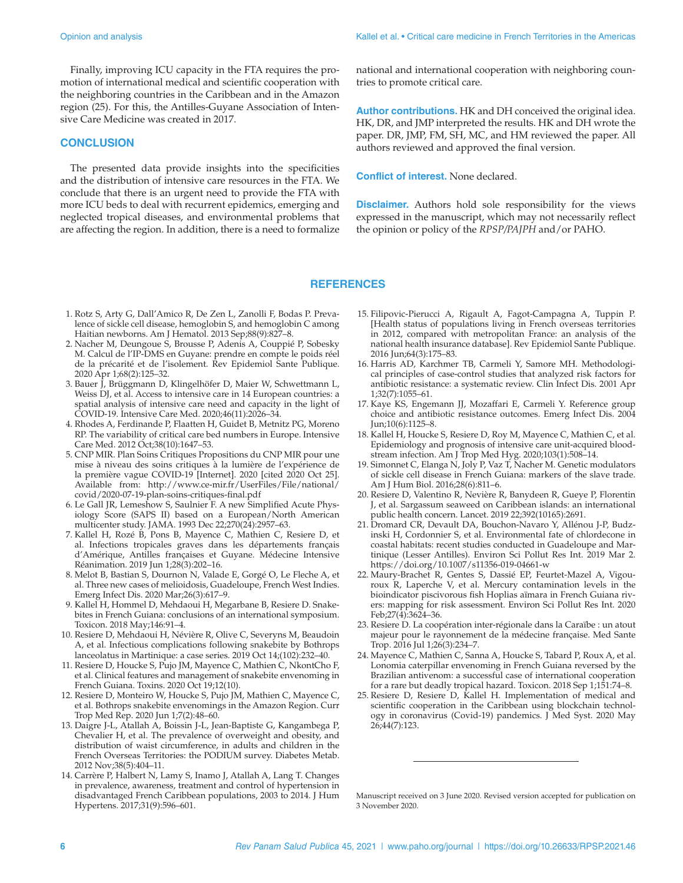Finally, improving ICU capacity in the FTA requires the promotion of international medical and scientific cooperation with the neighboring countries in the Caribbean and in the Amazon region (25). For this, the Antilles-Guyane Association of Intensive Care Medicine was created in 2017.

#### **CONCLUSION**

The presented data provide insights into the specificities and the distribution of intensive care resources in the FTA. We conclude that there is an urgent need to provide the FTA with more ICU beds to deal with recurrent epidemics, emerging and neglected tropical diseases, and environmental problems that are affecting the region. In addition, there is a need to formalize national and international cooperation with neighboring countries to promote critical care.

**Author contributions.** HK and DH conceived the original idea. HK, DR, and JMP interpreted the results. HK and DH wrote the paper. DR, JMP, FM, SH, MC, and HM reviewed the paper. All authors reviewed and approved the final version.

**Conflict of interest.** None declared.

**Disclaimer.** Authors hold sole responsibility for the views expressed in the manuscript, which may not necessarily reflect the opinion or policy of the *RPSP/PAJPH* and/or PAHO.

#### **REFERENCES**

- 1. Rotz S, Arty G, Dall'Amico R, De Zen L, Zanolli F, Bodas P. Prevalence of sickle cell disease, hemoglobin S, and hemoglobin C among Haitian newborns. Am J Hematol. 2013 Sep;88(9):827–8.
- 2. Nacher M, Deungoue S, Brousse P, Adenis A, Couppié P, Sobesky M. Calcul de l'IP-DMS en Guyane: prendre en compte le poids réel de la précarité et de l'isolement. Rev Epidemiol Sante Publique. 2020 Apr 1;68(2):125–32.
- 3. Bauer J, Brüggmann D, Klingelhöfer D, Maier W, Schwettmann L, Weiss DJ, et al. Access to intensive care in 14 European countries: a spatial analysis of intensive care need and capacity in the light of COVID-19. Intensive Care Med. 2020;46(11):2026–34.
- 4. Rhodes A, Ferdinande P, Flaatten H, Guidet B, Metnitz PG, Moreno RP. The variability of critical care bed numbers in Europe. Intensive Care Med. 2012 Oct;38(10):1647–53.
- 5. CNP MIR. Plan Soins Critiques Propositions du CNP MIR pour une mise à niveau des soins critiques à la lumière de l'expérience de la première vague COVID-19 [Internet]. 2020 [cited 2020 Oct 25]. Available from: [http://www.ce-mir.fr/UserFiles/File/national/](http://www.ce-mir.fr/UserFiles/File/national/covid/2020-07-19-plan-soins-critiques-final.pdf) [covid/2020-07-19-plan-soins-critiques-final.pdf](http://www.ce-mir.fr/UserFiles/File/national/covid/2020-07-19-plan-soins-critiques-final.pdf)
- 6. Le Gall JR, Lemeshow S, Saulnier F. A new Simplified Acute Physiology Score (SAPS II) based on a European/North American multicenter study. JAMA. 1993 Dec 22;270(24):2957–63.
- 7. Kallel H, Rozé B, Pons B, Mayence C, Mathien C, Resiere D, et al. Infections tropicales graves dans les départements français d'Amérique, Antilles françaises et Guyane. Médecine Intensive Réanimation. 2019 Jun 1;28(3):202–16.
- 8. Melot B, Bastian S, Dournon N, Valade E, Gorgé O, Le Fleche A, et al. Three new cases of melioidosis, Guadeloupe, French West Indies. Emerg Infect Dis. 2020 Mar;26(3):617–9.
- 9. Kallel H, Hommel D, Mehdaoui H, Megarbane B, Resiere D. Snakebites in French Guiana: conclusions of an international symposium. Toxicon. 2018 May;146:91–4.
- 10. Resiere D, Mehdaoui H, Névière R, Olive C, Severyns M, Beaudoin A, et al. Infectious complications following snakebite by Bothrops lanceolatus in Martinique: a case series. 2019 Oct 14;(102):232–40.
- 11. Resiere D, Houcke S, Pujo JM, Mayence C, Mathien C, NkontCho F, et al. Clinical features and management of snakebite envenoming in French Guiana. Toxins. 2020 Oct 19;12(10).
- 12. Resiere D, Monteiro W, Houcke S, Pujo JM, Mathien C, Mayence C, et al. Bothrops snakebite envenomings in the Amazon Region. Curr Trop Med Rep. 2020 Jun 1;7(2):48–60.
- 13. Daigre J-L, Atallah A, Boissin J-L, Jean-Baptiste G, Kangambega P, Chevalier H, et al. The prevalence of overweight and obesity, and distribution of waist circumference, in adults and children in the French Overseas Territories: the PODIUM survey. Diabetes Metab. 2012 Nov;38(5):404–11.
- 14. Carrère P, Halbert N, Lamy S, Inamo J, Atallah A, Lang T. Changes in prevalence, awareness, treatment and control of hypertension in disadvantaged French Caribbean populations, 2003 to 2014. J Hum Hypertens. 2017;31(9):596–601.
- 15. Filipovic-Pierucci A, Rigault A, Fagot-Campagna A, Tuppin P. [Health status of populations living in French overseas territories in 2012, compared with metropolitan France: an analysis of the national health insurance database]. Rev Epidemiol Sante Publique. 2016 Jun;64(3):175–83.
- 16. Harris AD, Karchmer TB, Carmeli Y, Samore MH. Methodological principles of case-control studies that analyzed risk factors for antibiotic resistance: a systematic review. Clin Infect Dis. 2001 Apr 1;32(7):1055–61.
- 17. Kaye KS, Engemann JJ, Mozaffari E, Carmeli Y. Reference group choice and antibiotic resistance outcomes. Emerg Infect Dis. 2004 Jun;10(6):1125–8.
- 18. Kallel H, Houcke S, Resiere D, Roy M, Mayence C, Mathien C, et al. Epidemiology and prognosis of intensive care unit-acquired bloodstream infection. Am J Trop Med Hyg. 2020;103(1):508–14.
- 19. Simonnet C, Elanga N, Joly P, Vaz T, Nacher M. Genetic modulators of sickle cell disease in French Guiana: markers of the slave trade. Am J Hum Biol. 2016;28(6):811–6.
- 20. Resiere D, Valentino R, Nevière R, Banydeen R, Gueye P, Florentin J, et al. Sargassum seaweed on Caribbean islands: an international public health concern. Lancet. 2019 22;392(10165):2691.
- 21. Dromard CR, Devault DA, Bouchon-Navaro Y, Allénou J-P, Budzinski H, Cordonnier S, et al. Environmental fate of chlordecone in coastal habitats: recent studies conducted in Guadeloupe and Martinique (Lesser Antilles). Environ Sci Pollut Res Int. 2019 Mar 2. <https://doi.org/10.1007/s11356-019-04661-w>
- 22. Maury-Brachet R, Gentes S, Dassié EP, Feurtet-Mazel A, Vigouroux R, Laperche V, et al. Mercury contamination levels in the bioindicator piscivorous fish Hoplias aïmara in French Guiana rivers: mapping for risk assessment. Environ Sci Pollut Res Int. 2020 Feb;27(4):3624–36.
- 23. Resiere D. La coopération inter-régionale dans la Caraïbe : un atout majeur pour le rayonnement de la médecine française. Med Sante Trop. 2016 Jul 1;26(3):234–7.
- 24. Mayence C, Mathien C, Sanna A, Houcke S, Tabard P, Roux A, et al. Lonomia caterpillar envenoming in French Guiana reversed by the Brazilian antivenom: a successful case of international cooperation for a rare but deadly tropical hazard. Toxicon. 2018 Sep 1;151:74–8.
- 25. Resiere D, Resiere D, Kallel H. Implementation of medical and scientific cooperation in the Caribbean using blockchain technology in coronavirus (Covid-19) pandemics. J Med Syst. 2020 May 26;44(7):123.

Manuscript received on 3 June 2020. Revised version accepted for publication on 3 November 2020.